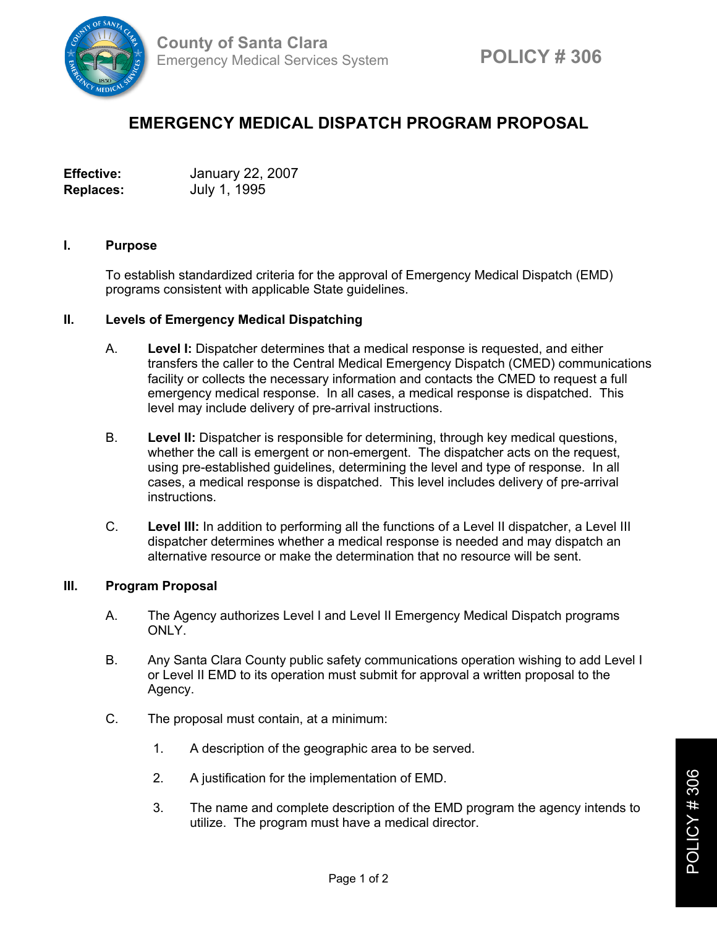

## **EMERGENCY MEDICAL DISPATCH PROGRAM PROPOSAL**

**Effective:** January 22, 2007 **Replaces:** July 1, 1995

## **I. Purpose**

To establish standardized criteria for the approval of Emergency Medical Dispatch (EMD) programs consistent with applicable State guidelines.

## **II. Levels of Emergency Medical Dispatching**

- A. **Level I:** Dispatcher determines that a medical response is requested, and either transfers the caller to the Central Medical Emergency Dispatch (CMED) communications facility or collects the necessary information and contacts the CMED to request a full emergency medical response. In all cases, a medical response is dispatched. This level may include delivery of pre-arrival instructions.
- B. **Level II:** Dispatcher is responsible for determining, through key medical questions, whether the call is emergent or non-emergent. The dispatcher acts on the request, using pre-established guidelines, determining the level and type of response. In all cases, a medical response is dispatched. This level includes delivery of pre-arrival instructions.
- C. **Level III:** In addition to performing all the functions of a Level II dispatcher, a Level III dispatcher determines whether a medical response is needed and may dispatch an alternative resource or make the determination that no resource will be sent.

## **III. Program Proposal**

- A. The Agency authorizes Level I and Level II Emergency Medical Dispatch programs ONLY.
- B. Any Santa Clara County public safety communications operation wishing to add Level I or Level II EMD to its operation must submit for approval a written proposal to the Agency.
- C. The proposal must contain, at a minimum:
	- 1. A description of the geographic area to be served.
	- 2. A justification for the implementation of EMD.
	- 3. The name and complete description of the EMD program the agency intends to utilize. The program must have a medical director.